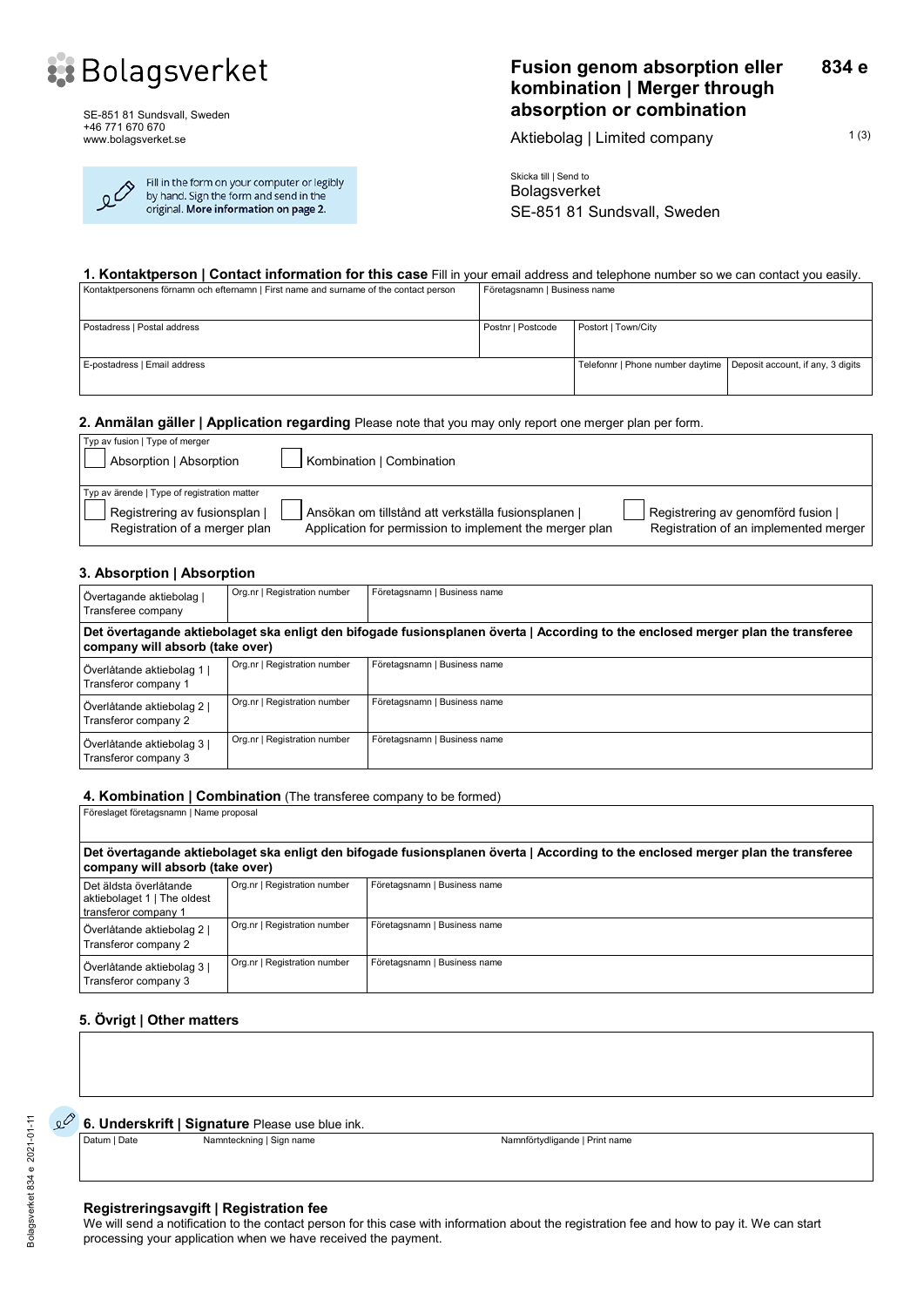

SE-851 81 Sundsvall, Sweden +46 771 670 670 www.bolagsverket.se

| $\overline{\mathcal{O}}$ | Fill in the form or |
|--------------------------|---------------------|
|                          | by hand. Sign the   |
|                          | original. More inf  |

<u>ر</u>

your computer or legibly form and send in the formation on page 2.

#### **Fusion genom absorption eller kombination | Merger through absorption or combination 834 e**

Aktiebolag | Limited company  $1(3)$ 

Skicka till | Send to Bolagsverket SE-851 81 Sundsvall, Sweden

#### **1. Kontaktperson | Contact information for this case** Fill in your email address and telephone number so we can contact you easily.

| Kontaktpersonens förnamn och efternamn   First name and surname of the contact person | Företagsnamn   Business name |                                                                      |  |
|---------------------------------------------------------------------------------------|------------------------------|----------------------------------------------------------------------|--|
| Postadress   Postal address                                                           | Postnr   Postcode            | Postort   Town/City                                                  |  |
| E-postadress   Email address                                                          |                              | Telefonnr   Phone number daytime   Deposit account, if any, 3 digits |  |

#### **2. Anmälan gäller | Application regarding** Please note that you may only report one merger plan per form.

| Typ av fusion   Type of merger<br>Absorption   Absorption                                                     | Kombination   Combination                                                                                      |                                                                             |
|---------------------------------------------------------------------------------------------------------------|----------------------------------------------------------------------------------------------------------------|-----------------------------------------------------------------------------|
| Typ av ärende   Type of registration matter<br>Registrering av fusionsplan  <br>Registration of a merger plan | Ansökan om tillstånd att verkställa fusionsplanen  <br>Application for permission to implement the merger plan | Registrering av genomförd fusion  <br>Registration of an implemented merger |

#### **3. Absorption | Absorption**

| Övertagande aktiebolag  <br>Transferee company                                                                                                                      | Org.nr   Registration number | Företagsnamn   Business name |  |
|---------------------------------------------------------------------------------------------------------------------------------------------------------------------|------------------------------|------------------------------|--|
| Det övertagande aktiebolaget ska enligt den bifogade fusionsplanen överta   According to the enclosed merger plan the transferee<br>company will absorb (take over) |                              |                              |  |
| Överlåtande aktiebolag 1  <br>Transferor company 1                                                                                                                  | Org.nr   Registration number | Företagsnamn   Business name |  |
| Överlåtande aktiebolag 2  <br>Transferor company 2                                                                                                                  | Org.nr   Registration number | Företagsnamn   Business name |  |
| Överlåtande aktiebolag 3  <br>Transferor company 3                                                                                                                  | Org.nr   Registration number | Företagsnamn   Business name |  |

## **4. Kombination | Combination** (The transferee company to be formed)

| Föreslaget företagsnamn   Name proposal                                                                                                                             |                              |                              |  |  |  |
|---------------------------------------------------------------------------------------------------------------------------------------------------------------------|------------------------------|------------------------------|--|--|--|
| Det övertagande aktiebolaget ska enligt den bifogade fusionsplanen överta   According to the enclosed merger plan the transferee<br>company will absorb (take over) |                              |                              |  |  |  |
| Det äldsta överlåtande<br>aktiebolaget 1   The oldest<br>transferor company 1                                                                                       | Org.nr   Registration number | Företagsnamn   Business name |  |  |  |
| Överlåtande aktiebolag 2  <br>Transferor company 2                                                                                                                  | Org.nr   Registration number | Företagsnamn   Business name |  |  |  |
| Överlåtande aktiebolag 3  <br>Transferor company 3                                                                                                                  | Org.nr   Registration number | Företagsnamn   Business name |  |  |  |

### **5. Övrigt | Other matters**

 $\mathcal{L}^{\circlearrowright}$ 

**6. Underskrift | Signature** Please use blue ink.

Datum | Date Namnteckning | Sign name Namnter Namntörtydligande | Print name

#### **Registreringsavgift | Registration fee**

We will send a notification to the contact person for this case with information about the registration fee and how to pay it. We can start processing your application when we have received the payment.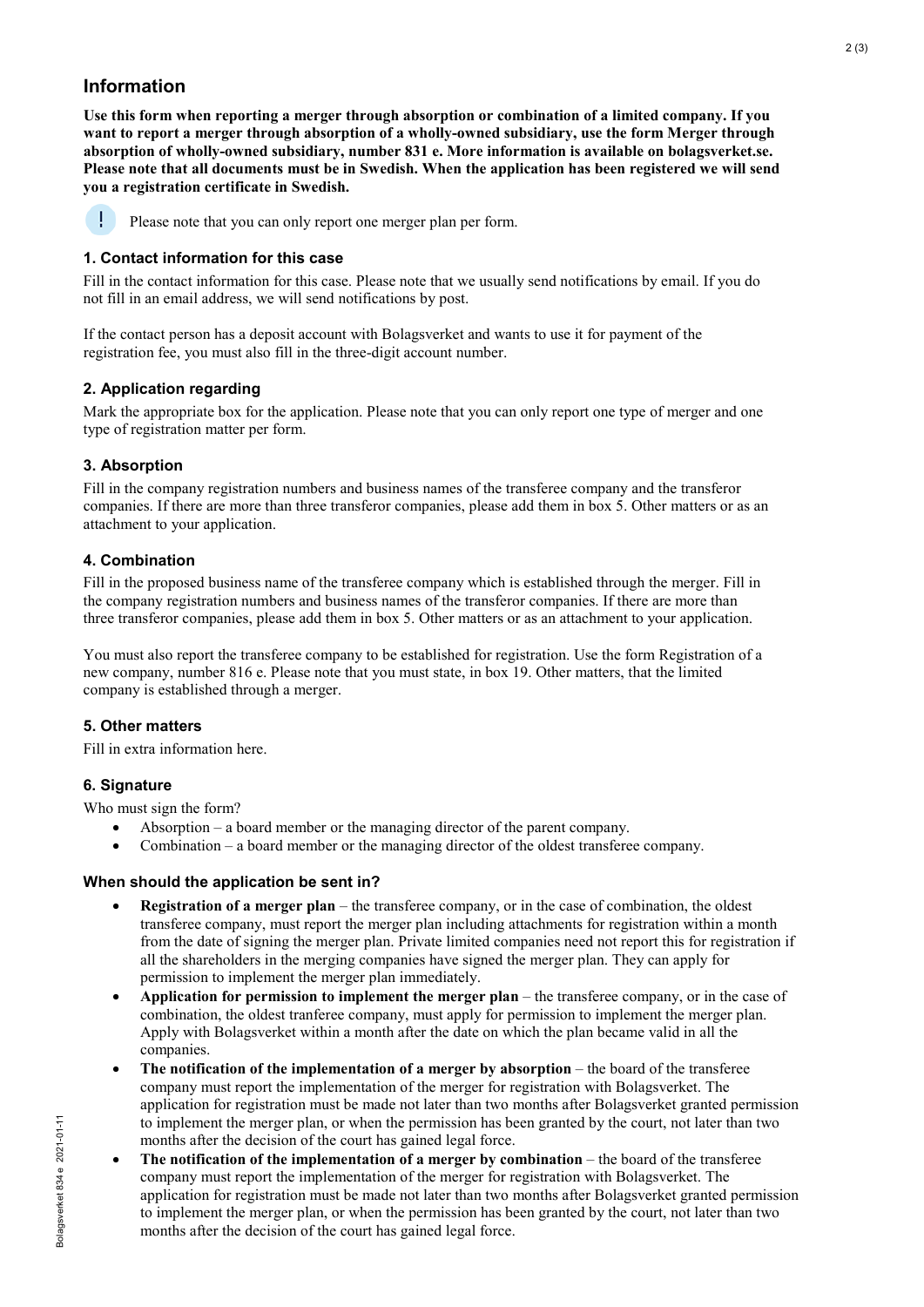# **Information**

**Use this form when reporting a merger through absorption or combination of a limited company. If you want to report a merger through absorption of a wholly-owned subsidiary, use the form Merger through absorption of wholly-owned subsidiary, number 831 e. More information is available on bolagsverket.se. Please note that all documents must be in Swedish. When the application has been registered we will send you a registration certificate in Swedish.** 



Please note that you can only report one merger plan per form.

## **1. Contact information for this case**

Fill in the contact information for this case. Please note that we usually send notifications by email. If you do not fill in an email address, we will send notifications by post.

If the contact person has a deposit account with Bolagsverket and wants to use it for payment of the registration fee, you must also fill in the three-digit account number.

## **2. Application regarding**

Mark the appropriate box for the application. Please note that you can only report one type of merger and one type of registration matter per form.

## **3. Absorption**

Fill in the company registration numbers and business names of the transferee company and the transferor companies. If there are more than three transferor companies, please add them in box 5. Other matters or as an attachment to your application.

## **4. Combination**

Fill in the proposed business name of the transferee company which is established through the merger. Fill in the company registration numbers and business names of the transferor companies. If there are more than three transferor companies, please add them in box 5. Other matters or as an attachment to your application.

You must also report the transferee company to be established for registration. Use the form Registration of a new company, number 816 e. Please note that you must state, in box 19. Other matters, that the limited company is established through a merger.

### **5. Other matters**

Fill in extra information here.

## **6. Signature**

Who must sign the form?

- Absorption a board member or the managing director of the parent company.
- Combination a board member or the managing director of the oldest transferee company.

### **When should the application be sent in?**

- **Registration of a merger plan**  the transferee company, or in the case of combination, the oldest transferee company, must report the merger plan including attachments for registration within a month from the date of signing the merger plan. Private limited companies need not report this for registration if all the shareholders in the merging companies have signed the merger plan. They can apply for permission to implement the merger plan immediately.
- **Application for permission to implement the merger plan** the transferee company, or in the case of combination, the oldest tranferee company, must apply for permission to implement the merger plan. Apply with Bolagsverket within a month after the date on which the plan became valid in all the companies.
- **The notification of the implementation of a merger by absorption** the board of the transferee company must report the implementation of the merger for registration with Bolagsverket. The application for registration must be made not later than two months after Bolagsverket granted permission to implement the merger plan, or when the permission has been granted by the court, not later than two months after the decision of the court has gained legal force.
- **The notification of the implementation of a merger by combination** the board of the transferee company must report the implementation of the merger for registration with Bolagsverket. The application for registration must be made not later than two months after Bolagsverket granted permission to implement the merger plan, or when the permission has been granted by the court, not later than two months after the decision of the court has gained legal force.